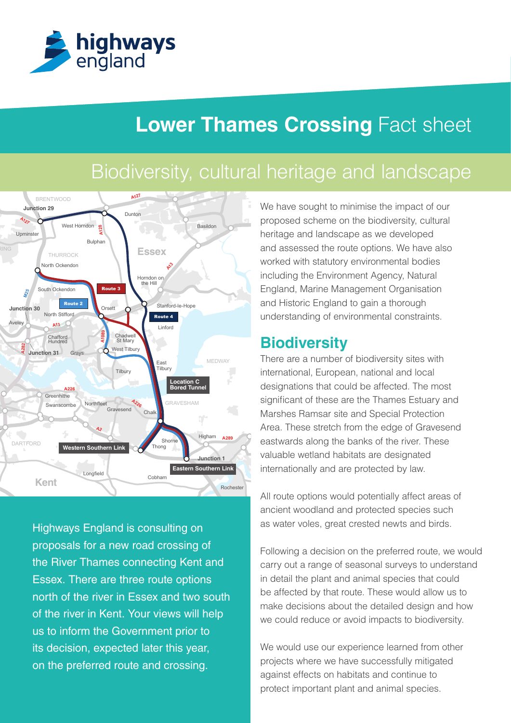

# **Lower Thames Crossing Fact sheet**

# Biodiversity, cultural heritage and landscape



**M20 M26 M20** north of the river in Essex and two south Highways England is consulting on proposals for a new road crossing of the River Thames connecting Kent and Essex. There are three route options of the river in Kent. Your views will help us to inform the Government prior to its decision, expected later this year, on the preferred route and crossing.

England, Marine Management Organisation Basildon<br> **South Benjary South Benjary Strategies** and landscape as we developed including the Environment Agency, Natural We have sought to minimise the impact of our proposed scheme on the biodiversity, cultural and assessed the route options. We have also worked with statutory environmental bodies and Historic England to gain a thorough understanding of environmental constraints.

### **Biodiversity**

There are a number of biodiversity sites with international, European, national and local designations that could be affected. The most significant of these are the Thames Estuary and Marshes Ramsar site and Special Protection Area. These stretch from the edge of Gravesend eastwards along the banks of the river. These valuable wetland habitats are designated internationally and are protected by law.

ancient woodland and protected species such All route options would potentially affect areas of as water voles, great crested newts and birds.

Following a decision on the preferred route, we would in detail the plant and animal species that could carry out a range of seasonal surveys to understand be affected by that route. These would allow us to make decisions about the detailed design and how we could reduce or avoid impacts to biodiversity.

We would use our experience learned from other projects where we have successfully mitigated against effects on habitats and continue to protect important plant and animal species.